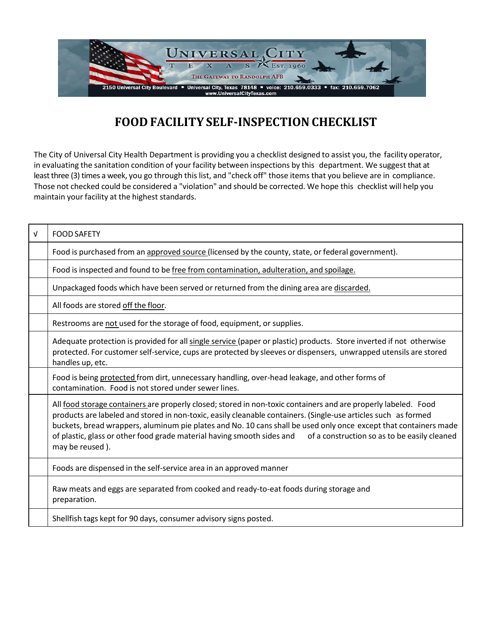

## **FOOD FACILITY SELF-INSPECTIONCHECKLIST**

The City of Universal City Health Department is providing you a checklist designed to assist you, the facility operator, in evaluating the sanitation condition of your facility between inspections by this department. We suggest that at least three (3) times a week, you go through this list, and "check off" those items that you believe are in compliance. Those not checked could be considered a "violation" and should be corrected. We hope this checklist will help you maintain your facility at the highest standards.

| $\sqrt{ }$ | <b>FOOD SAFETY</b>                                                                                                                                                                                                                                                                                                                                                                                                                                                                                |
|------------|---------------------------------------------------------------------------------------------------------------------------------------------------------------------------------------------------------------------------------------------------------------------------------------------------------------------------------------------------------------------------------------------------------------------------------------------------------------------------------------------------|
|            | Food is purchased from an approved source (licensed by the county, state, or federal government).                                                                                                                                                                                                                                                                                                                                                                                                 |
|            | Food is inspected and found to be free from contamination, adulteration, and spoilage.                                                                                                                                                                                                                                                                                                                                                                                                            |
|            | Unpackaged foods which have been served or returned from the dining area are discarded.                                                                                                                                                                                                                                                                                                                                                                                                           |
|            | All foods are stored off the floor.                                                                                                                                                                                                                                                                                                                                                                                                                                                               |
|            | Restrooms are not used for the storage of food, equipment, or supplies.                                                                                                                                                                                                                                                                                                                                                                                                                           |
|            | Adequate protection is provided for all single service (paper or plastic) products. Store inverted if not otherwise<br>protected. For customer self-service, cups are protected by sleeves or dispensers, unwrapped utensils are stored<br>handles up, etc.                                                                                                                                                                                                                                       |
|            | Food is being protected from dirt, unnecessary handling, over-head leakage, and other forms of<br>contamination. Food is not stored under sewer lines.                                                                                                                                                                                                                                                                                                                                            |
|            | All food storage containers are properly closed; stored in non-toxic containers and are properly labeled. Food<br>products are labeled and stored in non-toxic, easily cleanable containers. (Single-use articles such as formed<br>buckets, bread wrappers, aluminum pie plates and No. 10 cans shall be used only once except that containers made<br>of plastic, glass or other food grade material having smooth sides and<br>of a construction so as to be easily cleaned<br>may be reused). |
|            | Foods are dispensed in the self-service area in an approved manner                                                                                                                                                                                                                                                                                                                                                                                                                                |
|            | Raw meats and eggs are separated from cooked and ready-to-eat foods during storage and<br>preparation.                                                                                                                                                                                                                                                                                                                                                                                            |
|            | Shellfish tags kept for 90 days, consumer advisory signs posted.                                                                                                                                                                                                                                                                                                                                                                                                                                  |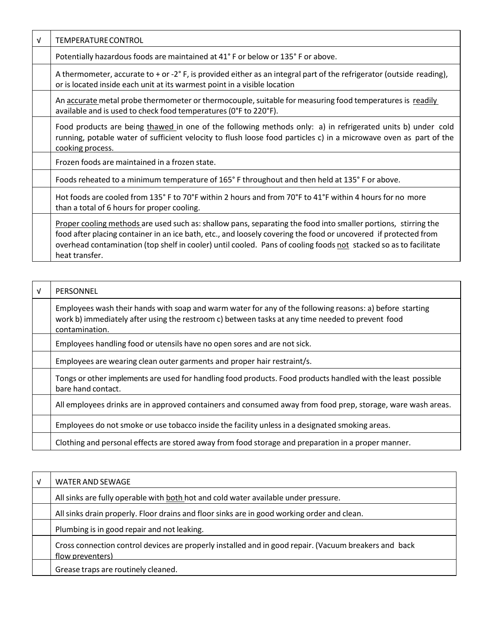| v | <b>TEMPERATURE CONTROL</b>                                                                                                                                                                                                                                                                                                                                              |
|---|-------------------------------------------------------------------------------------------------------------------------------------------------------------------------------------------------------------------------------------------------------------------------------------------------------------------------------------------------------------------------|
|   | Potentially hazardous foods are maintained at 41° F or below or 135° F or above.                                                                                                                                                                                                                                                                                        |
|   | A thermometer, accurate to $+$ or -2 $\degree$ F, is provided either as an integral part of the refrigerator (outside reading),<br>or is located inside each unit at its warmest point in a visible location                                                                                                                                                            |
|   | An accurate metal probe thermometer or thermocouple, suitable for measuring food temperatures is readily<br>available and is used to check food temperatures (0°F to 220°F).                                                                                                                                                                                            |
|   | Food products are being thawed in one of the following methods only: a) in refrigerated units b) under cold<br>running, potable water of sufficient velocity to flush loose food particles c) in a microwave oven as part of the<br>cooking process.                                                                                                                    |
|   | Frozen foods are maintained in a frozen state.                                                                                                                                                                                                                                                                                                                          |
|   | Foods reheated to a minimum temperature of 165° F throughout and then held at 135° F or above.                                                                                                                                                                                                                                                                          |
|   | Hot foods are cooled from 135°F to 70°F within 2 hours and from 70°F to 41°F within 4 hours for no more<br>than a total of 6 hours for proper cooling.                                                                                                                                                                                                                  |
|   | Proper cooling methods are used such as: shallow pans, separating the food into smaller portions, stirring the<br>food after placing container in an ice bath, etc., and loosely covering the food or uncovered if protected from<br>overhead contamination (top shelf in cooler) until cooled. Pans of cooling foods not stacked so as to facilitate<br>heat transfer. |

| v | PERSONNEL                                                                                                                                                                                                                      |
|---|--------------------------------------------------------------------------------------------------------------------------------------------------------------------------------------------------------------------------------|
|   | Employees wash their hands with soap and warm water for any of the following reasons: a) before starting<br>work b) immediately after using the restroom c) between tasks at any time needed to prevent food<br>contamination. |
|   | Employees handling food or utensils have no open sores and are not sick.                                                                                                                                                       |
|   | Employees are wearing clean outer garments and proper hair restraint/s.                                                                                                                                                        |
|   | Tongs or other implements are used for handling food products. Food products handled with the least possible<br>bare hand contact.                                                                                             |
|   | All employees drinks are in approved containers and consumed away from food prep, storage, ware wash areas.                                                                                                                    |
|   | Employees do not smoke or use tobacco inside the facility unless in a designated smoking areas.                                                                                                                                |
|   | Clothing and personal effects are stored away from food storage and preparation in a proper manner.                                                                                                                            |

| V | WATER AND SEWAGE                                                                                                          |
|---|---------------------------------------------------------------------------------------------------------------------------|
|   | All sinks are fully operable with both hot and cold water available under pressure.                                       |
|   | All sinks drain properly. Floor drains and floor sinks are in good working order and clean.                               |
|   | Plumbing is in good repair and not leaking.                                                                               |
|   | Cross connection control devices are properly installed and in good repair. (Vacuum breakers and back<br>flow preventers) |
|   | Grease traps are routinely cleaned.                                                                                       |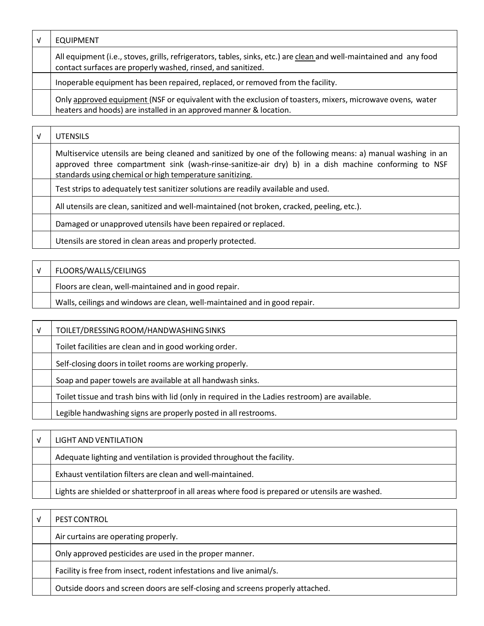| <b>EQUIPMENT</b>                                                                                                                                                                    |
|-------------------------------------------------------------------------------------------------------------------------------------------------------------------------------------|
| All equipment (i.e., stoves, grills, refrigerators, tables, sinks, etc.) are clean and well-maintained and any food<br>contact surfaces are properly washed, rinsed, and sanitized. |
| Inoperable equipment has been repaired, replaced, or removed from the facility.                                                                                                     |
| Only approved equipment (NSF or equivalent with the exclusion of toasters, mixers, microwave ovens, water<br>heaters and hoods) are installed in an approved manner & location.     |

| V | <b>UTENSILS</b>                                                                                                                                                                                                                                                                  |
|---|----------------------------------------------------------------------------------------------------------------------------------------------------------------------------------------------------------------------------------------------------------------------------------|
|   | Multiservice utensils are being cleaned and sanitized by one of the following means: a) manual washing in an<br>approved three compartment sink (wash-rinse-sanitize-air dry) b) in a dish machine conforming to NSF<br>standards using chemical or high temperature sanitizing. |
|   | Test strips to adequately test sanitizer solutions are readily available and used.                                                                                                                                                                                               |
|   | All utensils are clean, sanitized and well-maintained (not broken, cracked, peeling, etc.).                                                                                                                                                                                      |
|   | Damaged or unapproved utensils have been repaired or replaced.                                                                                                                                                                                                                   |
|   | Utensils are stored in clean areas and properly protected.                                                                                                                                                                                                                       |

| FLOORS/WALLS/CEILINGS                                                      |
|----------------------------------------------------------------------------|
| Floors are clean, well-maintained and in good repair.                      |
| Walls, ceilings and windows are clean, well-maintained and in good repair. |

| $\sqrt{ }$ | TOILET/DRESSING ROOM/HANDWASHING SINKS                                                         |
|------------|------------------------------------------------------------------------------------------------|
|            | Toilet facilities are clean and in good working order.                                         |
|            | Self-closing doors in toilet rooms are working properly.                                       |
|            | Soap and paper towels are available at all handwash sinks.                                     |
|            | Toilet tissue and trash bins with lid (only in required in the Ladies restroom) are available. |
|            | Legible handwashing signs are properly posted in all restrooms.                                |

| LIGHT AND VENTILATION                                                                           |
|-------------------------------------------------------------------------------------------------|
| Adequate lighting and ventilation is provided throughout the facility.                          |
| Exhaust ventilation filters are clean and well-maintained.                                      |
| Lights are shielded or shatterproof in all areas where food is prepared or utensils are washed. |

| PEST CONTROL                                                                   |
|--------------------------------------------------------------------------------|
| Air curtains are operating properly.                                           |
| Only approved pesticides are used in the proper manner.                        |
| Facility is free from insect, rodent infestations and live animal/s.           |
| Outside doors and screen doors are self-closing and screens properly attached. |